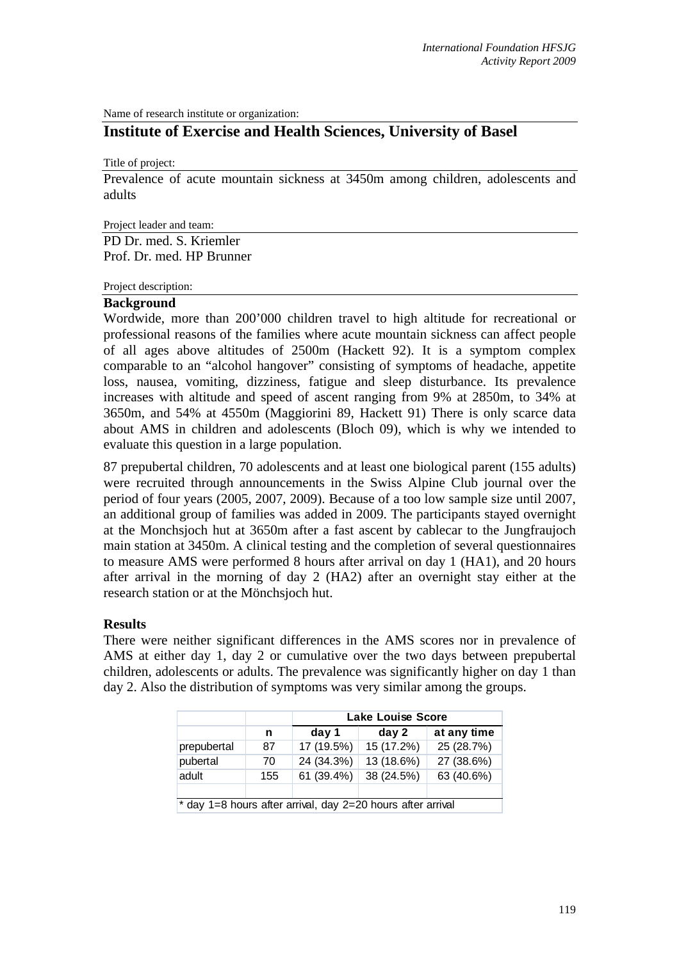Name of research institute or organization:

# **Institute of Exercise and Health Sciences, University of Basel**

Title of project:

Prevalence of acute mountain sickness at 3450m among children, adolescents and adults

Project leader and team:

PD Dr. med. S. Kriemler Prof. Dr. med. HP Brunner

Project description:

## **Background**

Wordwide, more than 200'000 children travel to high altitude for recreational or professional reasons of the families where acute mountain sickness can affect people of all ages above altitudes of 2500m (Hackett 92). It is a symptom complex comparable to an "alcohol hangover" consisting of symptoms of headache, appetite loss, nausea, vomiting, dizziness, fatigue and sleep disturbance. Its prevalence increases with altitude and speed of ascent ranging from 9% at 2850m, to 34% at 3650m, and 54% at 4550m (Maggiorini 89, Hackett 91) There is only scarce data about AMS in children and adolescents (Bloch 09), which is why we intended to evaluate this question in a large population.

87 prepubertal children, 70 adolescents and at least one biological parent (155 adults) were recruited through announcements in the Swiss Alpine Club journal over the period of four years (2005, 2007, 2009). Because of a too low sample size until 2007, an additional group of families was added in 2009. The participants stayed overnight at the Monchsjoch hut at 3650m after a fast ascent by cablecar to the Jungfraujoch main station at 3450m. A clinical testing and the completion of several questionnaires to measure AMS were performed 8 hours after arrival on day 1 (HA1), and 20 hours after arrival in the morning of day 2 (HA2) after an overnight stay either at the research station or at the Mönchsjoch hut.

## **Results**

There were neither significant differences in the AMS scores nor in prevalence of AMS at either day 1, day 2 or cumulative over the two days between prepubertal children, adolescents or adults. The prevalence was significantly higher on day 1 than day 2. Also the distribution of symptoms was very similar among the groups.

|                                                             |     | <b>Lake Louise Score</b> |            |             |
|-------------------------------------------------------------|-----|--------------------------|------------|-------------|
|                                                             | n   | day 1                    | day 2      | at any time |
| prepubertal                                                 | 87  | 17 (19.5%)               | 15 (17.2%) | 25 (28.7%)  |
| pubertal                                                    | 70  | 24 (34.3%)               | 13 (18.6%) | 27 (38.6%)  |
| adult                                                       | 155 | 61 (39.4%)               | 38 (24.5%) | 63 (40.6%)  |
|                                                             |     |                          |            |             |
| * day 1=8 hours after arrival, day 2=20 hours after arrival |     |                          |            |             |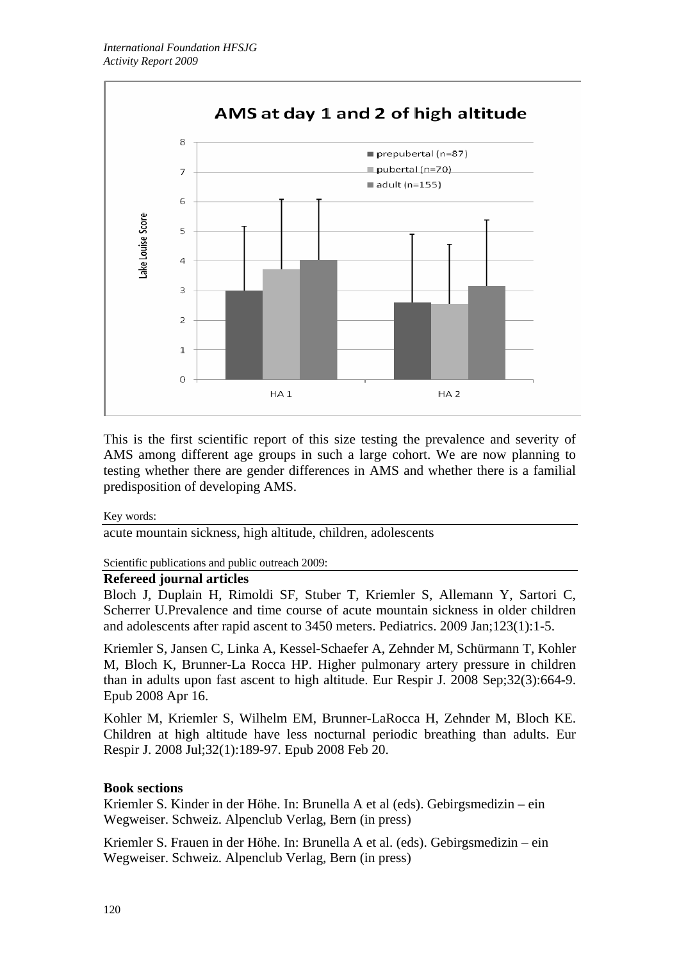

This is the first scientific report of this size testing the prevalence and severity of AMS among different age groups in such a large cohort. We are now planning to testing whether there are gender differences in AMS and whether there is a familial predisposition of developing AMS.

## Key words:

acute mountain sickness, high altitude, children, adolescents

Scientific publications and public outreach 2009:

## **Refereed journal articles**

Bloch J, Duplain H, Rimoldi SF, Stuber T, Kriemler S, Allemann Y, Sartori C, Scherrer U.Prevalence and time course of acute mountain sickness in older children and adolescents after rapid ascent to 3450 meters. Pediatrics. 2009 Jan;123(1):1-5.

Kriemler S, Jansen C, Linka A, Kessel-Schaefer A, Zehnder M, Schürmann T, Kohler M, Bloch K, Brunner-La Rocca HP. Higher pulmonary artery pressure in children than in adults upon fast ascent to high altitude. Eur Respir J. 2008 Sep;32(3):664-9. Epub 2008 Apr 16.

Kohler M, Kriemler S, Wilhelm EM, Brunner-LaRocca H, Zehnder M, Bloch KE. Children at high altitude have less nocturnal periodic breathing than adults. Eur Respir J. 2008 Jul;32(1):189-97. Epub 2008 Feb 20.

## **Book sections**

Kriemler S. Kinder in der Höhe. In: Brunella A et al (eds). Gebirgsmedizin – ein Wegweiser. Schweiz. Alpenclub Verlag, Bern (in press)

Kriemler S. Frauen in der Höhe. In: Brunella A et al. (eds). Gebirgsmedizin – ein Wegweiser. Schweiz. Alpenclub Verlag, Bern (in press)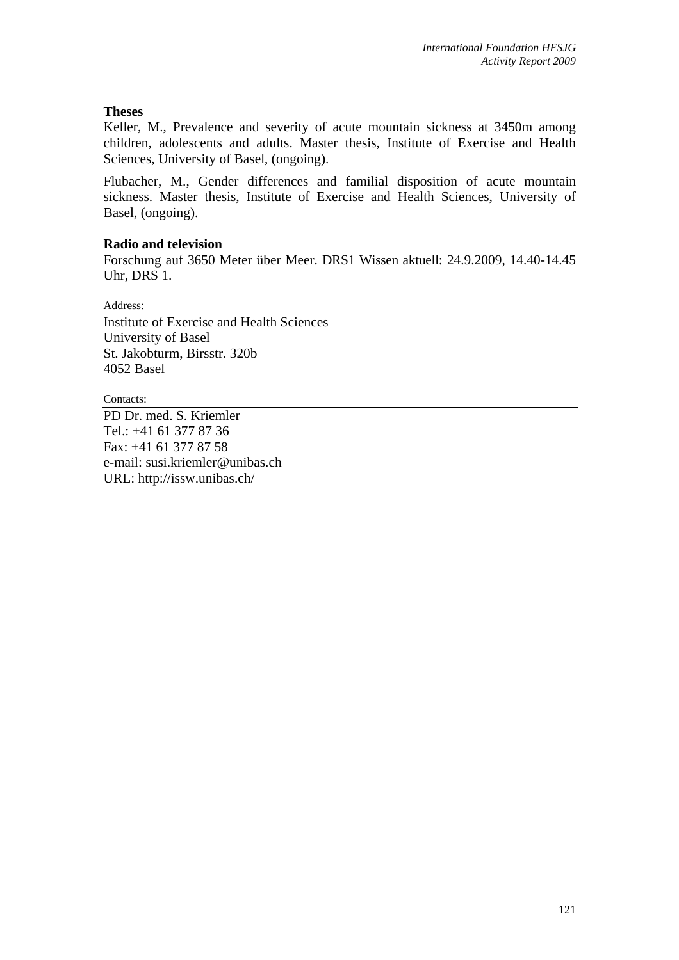# **Theses**

Keller, M., Prevalence and severity of acute mountain sickness at 3450m among children, adolescents and adults. Master thesis, Institute of Exercise and Health Sciences, University of Basel, (ongoing).

Flubacher, M., Gender differences and familial disposition of acute mountain sickness. Master thesis, Institute of Exercise and Health Sciences, University of Basel, (ongoing).

# **Radio and television**

Forschung auf 3650 Meter über Meer. DRS1 Wissen aktuell: 24.9.2009, 14.40-14.45 Uhr, DRS 1.

Address:

Institute of Exercise and Health Sciences University of Basel St. Jakobturm, Birsstr. 320b 4052 Basel

Contacts:

PD Dr. med. S. Kriemler Tel.: +41 61 377 87 36 Fax: +41 61 377 87 58 e-mail: susi.kriemler@unibas.ch URL: http://issw.unibas.ch/